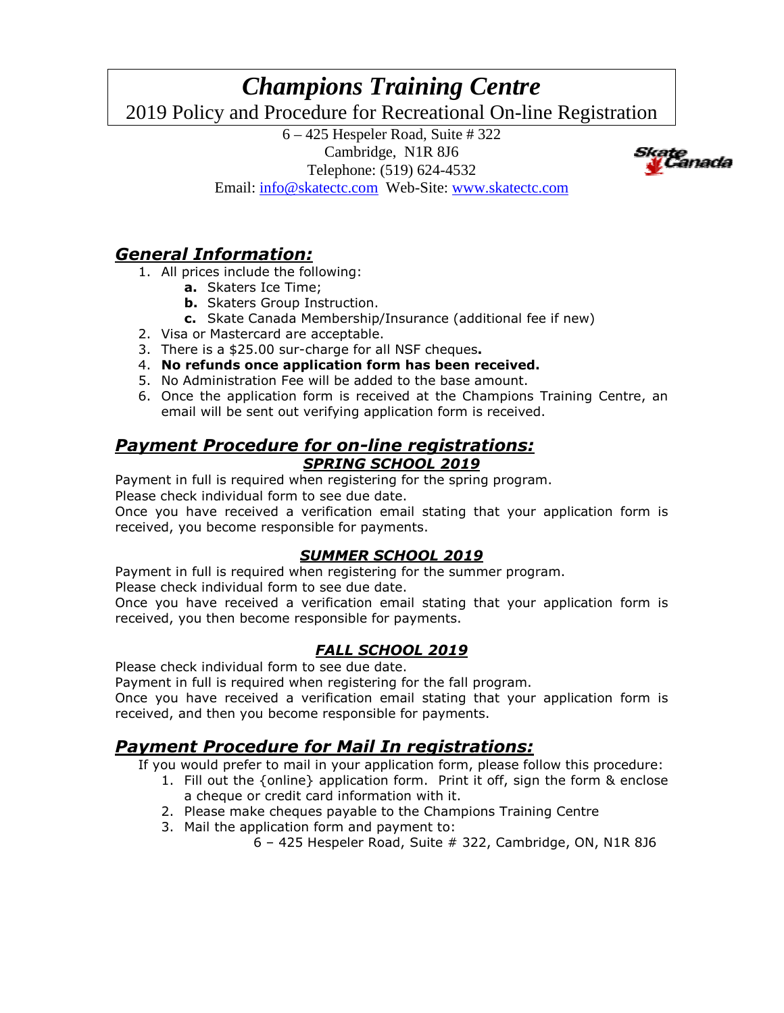## *Champions Training Centre* 2019 Policy and Procedure for Recreational On-line Registration

6 – 425 Hespeler Road, Suite # 322 Cambridge, N1R 8J6 Telephone: (519) 624-4532 Email: info@skatectc.com Web-Site: www.skatectc.com



# *General Information:*

- 1. All prices include the following:
	- **a.** Skaters Ice Time;
	- **b.** Skaters Group Instruction.
	- **c.** Skate Canada Membership/Insurance (additional fee if new)
- 2. Visa or Mastercard are acceptable.
- 3. There is a \$25.00 sur-charge for all NSF cheques**.**
- 4. **No refunds once application form has been received.**
- 5. No Administration Fee will be added to the base amount.
- 6. Once the application form is received at the Champions Training Centre, an email will be sent out verifying application form is received.

#### *Payment Procedure for on-line registrations: SPRING SCHOOL 2019*

Payment in full is required when registering for the spring program. Please check individual form to see due date.

Once you have received a verification email stating that your application form is received, you become responsible for payments.

#### *SUMMER SCHOOL 2019*

Payment in full is required when registering for the summer program.

Please check individual form to see due date.

Once you have received a verification email stating that your application form is received, you then become responsible for payments.

#### *FALL SCHOOL 2019*

Please check individual form to see due date.

Payment in full is required when registering for the fall program.

Once you have received a verification email stating that your application form is received, and then you become responsible for payments.

## *Payment Procedure for Mail In registrations:*

If you would prefer to mail in your application form, please follow this procedure:

- 1. Fill out the {online} application form. Print it off, sign the form & enclose a cheque or credit card information with it.
- 2. Please make cheques payable to the Champions Training Centre
- 3. Mail the application form and payment to:

6 – 425 Hespeler Road, Suite # 322, Cambridge, ON, N1R 8J6